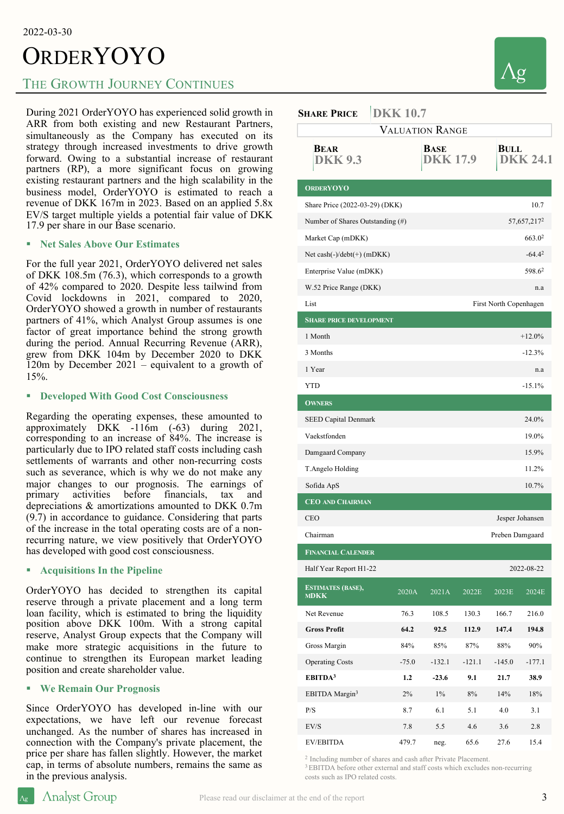#### 2022-03-30

# **ORDERYOYO**

### THE GROWTH JOURNEY CONTINUES

During 2021 OrderYOYO has experienced solid growth in ARR from both existing and new Restaurant Partners, simultaneously as the Company has executed on its strategy through increased investments to drive growth forward. Owing to a substantial increase of restaurant partners (RP), a more significant focus on growing existing restaurant partners and the high scalability in the business model, OrderYOYO is estimated to reach a revenue of DKK 167m in 2023. Based on an applied 5.8x EV/S target multiple yields a potential fair value of DKK 17.9 per share in our Base scenario.

#### § **Net Sales Above Our Estimates**

For the full year 2021, OrderYOYO delivered net sales of DKK 108.5m (76.3), which corresponds to a growth of 42% compared to 2020. Despite less tailwind from Covid lockdowns in 2021, compared to 2020, OrderYOYO showed a growth in number of restaurants partners of 41%, which Analyst Group assumes is one factor of great importance behind the strong growth during the period. Annual Recurring Revenue (ARR), grew from DKK 104m by December 2020 to DKK 120m by December 2021 – equivalent to a growth of 15%.

#### § **Developed With Good Cost Consciousness**

Regarding the operating expenses, these amounted to approximately DKK -116m (-63) during 2021, corresponding to an increase of 84%. The increase is particularly due to IPO related staff costs including cash settlements of warrants and other non-recurring costs such as severance, which is why we do not make any major changes to our prognosis. The earnings of primary activities before financials, tax and activities before financials, tax and depreciations & amortizations amounted to DKK 0.7m (9.7) in accordance to guidance. Considering that parts of the increase in the total operating costs are of a nonrecurring nature, we view positively that OrderYOYO has developed with good cost consciousness.

#### § **Acquisitions In the Pipeline**

OrderYOYO has decided to strengthen its capital reserve through a private placement and a long term loan facility, which is estimated to bring the liquidity position above DKK 100m. With a strong capital reserve, Analyst Group expects that the Company will make more strategic acquisitions in the future to continue to strengthen its European market leading position and create shareholder value.

#### § **We Remain Our Prognosis**

Since OrderYOYO has developed in-line with our expectations, we have left our revenue forecast unchanged. As the number of shares has increased in connection with the Company's private placement, the price per share has fallen slightly. However, the market cap, in terms of absolute numbers, remains the same as in the previous analysis.



| <b>SHARE PRICE</b>                      | <b>DKK 10.7</b> |                        |          |                    |                 |
|-----------------------------------------|-----------------|------------------------|----------|--------------------|-----------------|
| <b>VALUATION RANGE</b>                  |                 |                        |          |                    |                 |
| <b>BEAR</b><br><b>DKK 9.3</b>           |                 | BASE<br><b>DKK17.9</b> |          | BULL               | <b>DKK 24.1</b> |
| <b>ORDERYOYO</b>                        |                 |                        |          |                    |                 |
| Share Price (2022-03-29) (DKK)          |                 |                        |          | 10.7               |                 |
| Number of Shares Outstanding (#)        |                 |                        |          | 57,657,2172        |                 |
| Market Cap (mDKK)                       |                 |                        |          | 663.0 <sup>2</sup> |                 |
| Net cash $(-)/\text{debt}(+)$ (mDKK)    |                 |                        |          | $-64.42$           |                 |
| Enterprise Value (mDKK)                 |                 |                        |          |                    | 598.62          |
| W.52 Price Range (DKK)                  |                 |                        |          |                    | n.a             |
| List<br>First North Copenhagen          |                 |                        |          |                    |                 |
| <b>SHARE PRICE DEVELOPMENT</b>          |                 |                        |          |                    |                 |
| 1 Month                                 |                 |                        |          |                    | $+12.0%$        |
| 3 Months                                |                 |                        |          |                    | $-12.3%$        |
| 1 Year                                  |                 |                        |          |                    | n.a             |
| <b>YTD</b>                              |                 |                        |          |                    | $-15.1%$        |
| <b>OWNERS</b>                           |                 |                        |          |                    |                 |
| <b>SEED Capital Denmark</b>             |                 |                        |          |                    | 24.0%           |
| Vaekstfonden                            |                 |                        |          |                    | 19.0%           |
| Damgaard Company                        |                 |                        |          |                    | 15.9%           |
| T.Angelo Holding                        |                 |                        |          | 11.2%              |                 |
| Sofida ApS                              |                 |                        |          |                    | 10.7%           |
| <b>CEO AND CHAIRMAN</b>                 |                 |                        |          |                    |                 |
| CEO                                     |                 |                        |          | Jesper Johansen    |                 |
| Chairman<br>Preben Damgaard             |                 |                        |          |                    |                 |
| <b>FINANCIAL CALENDER</b>               |                 |                        |          |                    |                 |
| Half Year Report H1-22<br>2022-08-22    |                 |                        |          |                    |                 |
| <b>ESTIMATES (BASE),</b><br><b>MDKK</b> | 2020A           | 2021A                  | 2022E    | 2023E              | 2024E           |
| Net Revenue                             | 76.3            | 108.5                  | 130.3    | 166.7              | 216.0           |
| <b>Gross Profit</b>                     | 64.2            | 92.5                   | 112.9    | 147.4              | 194.8           |
| Gross Margin                            | 84%             | 85%                    | 87%      | 88%                | 90%             |
| <b>Operating Costs</b>                  | $-75.0$         | $-132.1$               | $-121.1$ | $-145.0$           | $-177.1$        |
| EBITDA <sup>3</sup>                     | 1.2             | $-23.6$                | 9.1      | 21.7               | 38.9            |
| EBITDA Margin <sup>3</sup>              | 2%              | $1\%$                  | 8%       | 14%                | 18%             |
| P/S                                     | 8.7             | 6.1                    | 5.1      | 4.0                | 3.1             |
| EV/S                                    | 7.8             | 5.5                    | 4.6      | 3.6                | 2.8             |
| EV/EBITDA                               | 479.7           | neg.                   | 65.6     | 27.6               | 15.4            |

2 Including number of shares and cash after Private Placement.

3 EBITDA before other external and staff costs which excludes non-recurring costs such as IPO related costs.